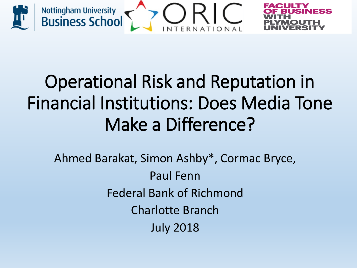

# Operational Risk and Reputation in Financial Institutions: Does Media Tone Make a Difference?

Ahmed Barakat, Simon Ashby\*, Cormac Bryce, Paul Fenn Federal Bank of Richmond Charlotte Branch July 2018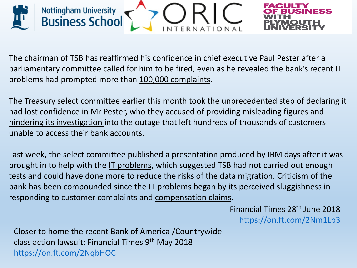

The chairman of TSB has reaffirmed his confidence in chief executive Paul Pester after a parliamentary committee called for him to be fired, even as he revealed the bank's recent IT problems had prompted more than 100,000 complaints.

The Treasury select committee earlier this month took the unprecedented step of declaring it had lost confidence in Mr Pester, who they accused of providing misleading figures and hindering its investigation into the outage that left hundreds of thousands of customers unable to access their bank accounts.

Last week, the select committee published a presentation produced by IBM days after it was brought in to help with the IT problems, which suggested TSB had not carried out enough tests and could have done more to reduce the risks of the data migration. Criticism of the bank has been compounded since the IT problems began by its perceived sluggishness in responding to customer complaints and compensation claims.

> Financial Times 28th June 2018 <https://on.ft.com/2Nm1Lp3>

Closer to home the recent Bank of America /Countrywide class action lawsuit: Financial Times 9th May 2018 <https://on.ft.com/2NqbHOC>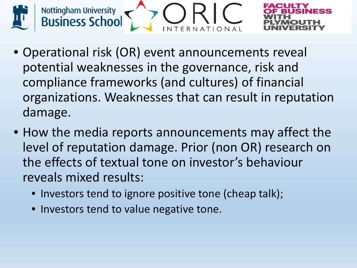

- Operational risk (OR) event announcements reveal potential weaknesses in the governance, risk and compliance frameworks (and cultures) of financial organizations. Weaknesses that can result in reputation damage.
- How the media reports announcements may affect the level of reputation damage. Prior (non OR) research on the effects of textual tone on investor's behaviour reveals mixed results:
	- Investors tend to ignore positive tone (cheap talk);
	- Investors tend to value negative tone.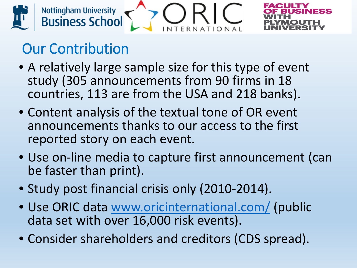

## Our Contribution

- A relatively large sample size for this type of event study (305 announcements from 90 firms in 18 countries, 113 are from the USA and 218 banks).
- Content analysis of the textual tone of OR event announcements thanks to our access to the first reported story on each event.
- Use on-line media to capture first announcement (can be faster than print).
- Study post financial crisis only (2010-2014).
- Use ORIC data [www.oricinternational.com/](http://www.oricinternational.com/) (public data set with over 16,000 risk events).
- Consider shareholders and creditors (CDS spread).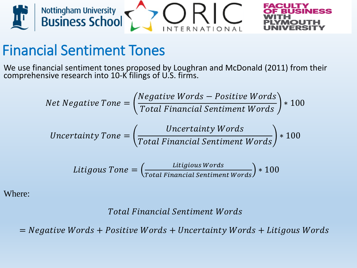

#### Financial Sentiment Tones

We use financial sentiment tones proposed by Loughran and McDonald (2011) from their comprehensive research into 10-K filings of U.S. firms.

Net Negative Tone = 
$$
\left(\frac{Negative\ Words - Positive\ Words}{Total\ Financial\ Sentiment\ Words}\right) * 100
$$
  
\nUncertainty Tone =  $\left(\frac{Uncertainty\ Words}{Total\ Financial\ Sentiment\ Words}\right) * 100$   
\nLitigous Tone =  $\left(\frac{Litigious\ Words}{Total\ Financial\ Sentiment\ Words}\right) * 100$ 

Where:

#### **Total Financial Sentiment Words**

 $=$  Negative Words + Positive Words + Uncertainty Words + Litigous Words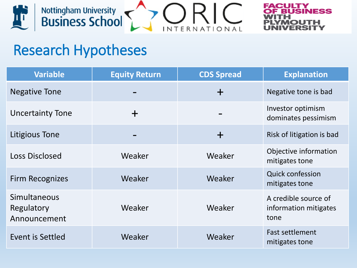



#### Research Hypotheses

| <b>Variable</b>                            | <b>Equity Return</b> | <b>CDS Spread</b> | <b>Explanation</b>                                    |
|--------------------------------------------|----------------------|-------------------|-------------------------------------------------------|
| <b>Negative Tone</b>                       |                      | $+$               | Negative tone is bad                                  |
| <b>Uncertainty Tone</b>                    |                      |                   | Investor optimism<br>dominates pessimism              |
| Litigious Tone                             |                      | $+$               | Risk of litigation is bad                             |
| <b>Loss Disclosed</b>                      | Weaker               | Weaker            | Objective information<br>mitigates tone               |
| <b>Firm Recognizes</b>                     | Weaker               | Weaker            | <b>Quick confession</b><br>mitigates tone             |
| Simultaneous<br>Regulatory<br>Announcement | Weaker               | Weaker            | A credible source of<br>information mitigates<br>tone |
| Event is Settled                           | Weaker               | Weaker            | <b>Fast settlement</b><br>mitigates tone              |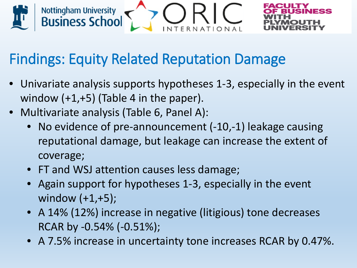

#### Findings: Equity Related Reputation Damage

- Univariate analysis supports hypotheses 1-3, especially in the event window  $(+1,+5)$  (Table 4 in the paper).
- Multivariate analysis (Table 6, Panel A):
	- No evidence of pre-announcement (-10,-1) leakage causing reputational damage, but leakage can increase the extent of coverage;
	- FT and WSJ attention causes less damage;
	- Again support for hypotheses 1-3, especially in the event window (+1,+5);
	- A 14% (12%) increase in negative (litigious) tone decreases RCAR by -0.54% (-0.51%);
	- A 7.5% increase in uncertainty tone increases RCAR by 0.47%.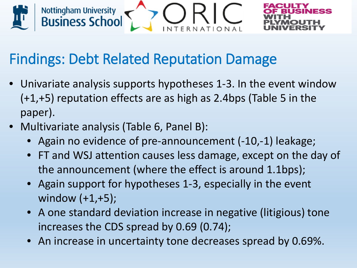

#### Findings: Debt Related Reputation Damage

- Univariate analysis supports hypotheses 1-3. In the event window (+1,+5) reputation effects are as high as 2.4bps (Table 5 in the paper).
- Multivariate analysis (Table 6, Panel B):
	- Again no evidence of pre-announcement (-10,-1) leakage;
	- FT and WSJ attention causes less damage, except on the day of the announcement (where the effect is around 1.1bps);
	- Again support for hypotheses 1-3, especially in the event window (+1,+5);
	- A one standard deviation increase in negative (litigious) tone increases the CDS spread by 0.69 (0.74);
	- An increase in uncertainty tone decreases spread by 0.69%.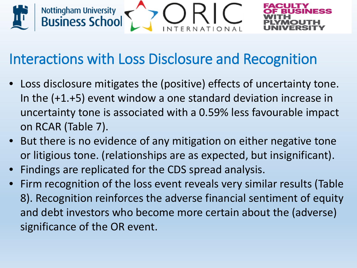

#### Interactions with Loss Disclosure and Recognition

- Loss disclosure mitigates the (positive) effects of uncertainty tone. In the (+1.+5) event window a one standard deviation increase in uncertainty tone is associated with a 0.59% less favourable impact on RCAR (Table 7).
- But there is no evidence of any mitigation on either negative tone or litigious tone. (relationships are as expected, but insignificant).
- Findings are replicated for the CDS spread analysis.
- Firm recognition of the loss event reveals very similar results (Table 8). Recognition reinforces the adverse financial sentiment of equity and debt investors who become more certain about the (adverse) significance of the OR event.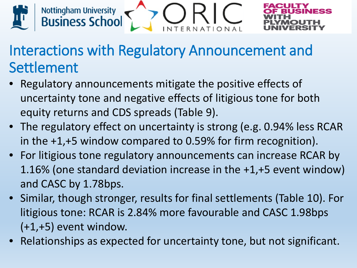

#### Interactions with Regulatory Announcement and Settlement

- Regulatory announcements mitigate the positive effects of uncertainty tone and negative effects of litigious tone for both equity returns and CDS spreads (Table 9).
- The regulatory effect on uncertainty is strong (e.g. 0.94% less RCAR in the +1,+5 window compared to 0.59% for firm recognition).
- For litigious tone regulatory announcements can increase RCAR by 1.16% (one standard deviation increase in the +1,+5 event window) and CASC by 1.78bps.
- Similar, though stronger, results for final settlements (Table 10). For litigious tone: RCAR is 2.84% more favourable and CASC 1.98bps (+1,+5) event window.
- Relationships as expected for uncertainty tone, but not significant.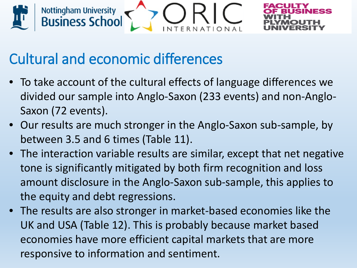



### Cultural and economic differences

- To take account of the cultural effects of language differences we divided our sample into Anglo-Saxon (233 events) and non-Anglo-Saxon (72 events).
- Our results are much stronger in the Anglo-Saxon sub-sample, by between 3.5 and 6 times (Table 11).
- The interaction variable results are similar, except that net negative tone is significantly mitigated by both firm recognition and loss amount disclosure in the Anglo-Saxon sub-sample, this applies to the equity and debt regressions.
- The results are also stronger in market-based economies like the UK and USA (Table 12). This is probably because market based economies have more efficient capital markets that are more responsive to information and sentiment.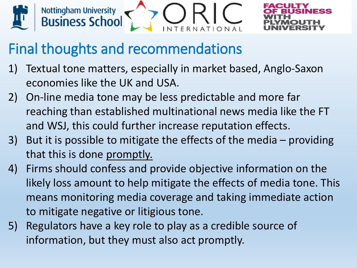



#### Final thoughts and recommendations

- 1) Textual tone matters, especially in market based, Anglo-Saxon economies like the UK and USA.
- 2) On-line media tone may be less predictable and more far reaching than established multinational news media like the FT and WSJ, this could further increase reputation effects.
- 3) But it is possible to mitigate the effects of the media providing that this is done promptly.
- 4) Firms should confess and provide objective information on the likely loss amount to help mitigate the effects of media tone. This means monitoring media coverage and taking immediate action to mitigate negative or litigious tone.
- 5) Regulators have a key role to play as a credible source of information, but they must also act promptly.